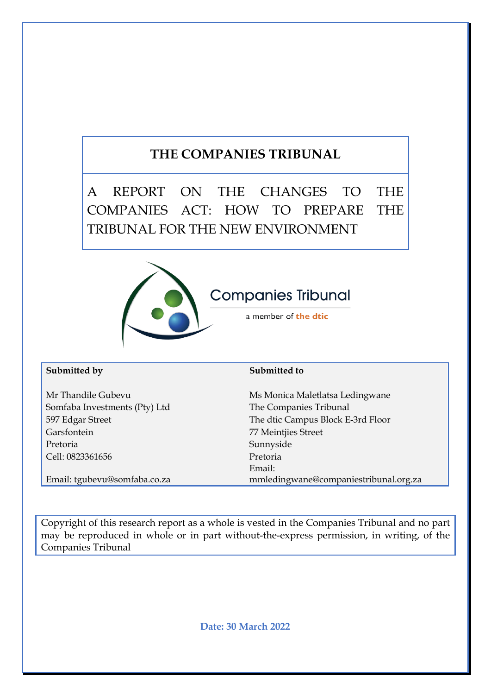# **THE COMPANIES TRIBUNAL**

A REPORT ON THE CHANGES TO THE COMPANIES ACT: HOW TO PREPARE THE TRIBUNAL FOR THE NEW ENVIRONMENT



#### **Submitted by Submitted to Submitted to Submitted to Submitted to Submitted to Submitted to Submitted to Submitted to Submitted to Submitted to Submitted to Submitted to Submitted to Submitted to Submitted to Submitted to**

Somfaba Investments (Pty) Ltd The Companies Tribunal Garsfontein 77 Meintjies Street Pretoria Sunnyside Cell: 0823361656 Pretoria

Email: tgubevu@somfaba.co.za

Mr Thandile Gubevu Ms Monica Maletlatsa Ledingwane 597 Edgar Street The dtic Campus Block E-3rd Floor Email: mmledingwane@companiestribunal.org.za

Copyright of this research report as a whole is vested in the Companies Tribunal and no part may be reproduced in whole or in part without-the-express permission, in writing, of the Companies Tribunal

**Date: 30 March 2022**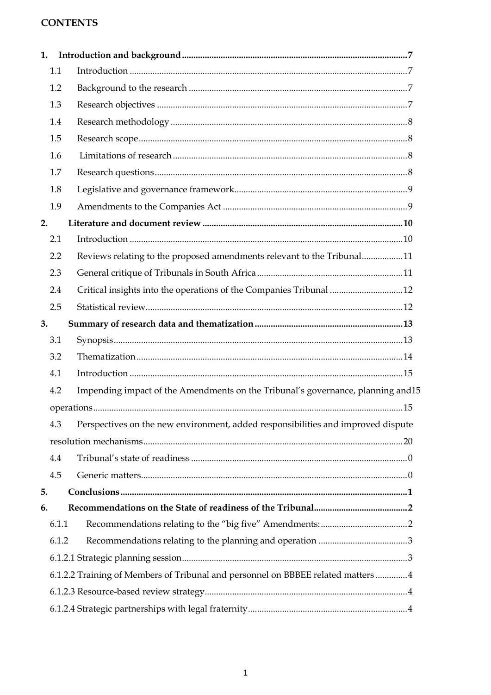# **CONTENTS**

| 1. |       |                                                                                   |  |
|----|-------|-----------------------------------------------------------------------------------|--|
|    | 1.1   |                                                                                   |  |
|    | 1.2   |                                                                                   |  |
|    | 1.3   |                                                                                   |  |
|    | 1.4   |                                                                                   |  |
|    | 1.5   |                                                                                   |  |
|    | 1.6   |                                                                                   |  |
|    | 1.7   |                                                                                   |  |
|    | 1.8   |                                                                                   |  |
|    | 1.9   |                                                                                   |  |
| 2. |       |                                                                                   |  |
|    | 2.1   |                                                                                   |  |
|    | 2.2   | Reviews relating to the proposed amendments relevant to the Tribunal11            |  |
|    | 2.3   |                                                                                   |  |
|    | 2.4   | Critical insights into the operations of the Companies Tribunal 12                |  |
|    | 2.5   |                                                                                   |  |
| 3. |       |                                                                                   |  |
|    | 3.1   |                                                                                   |  |
|    | 3.2   |                                                                                   |  |
|    | 4.1   |                                                                                   |  |
|    | 4.2   | Impending impact of the Amendments on the Tribunal's governance, planning and 15  |  |
|    |       |                                                                                   |  |
|    | 4.3   | Perspectives on the new environment, added responsibilities and improved dispute  |  |
|    |       |                                                                                   |  |
|    | 4.4   |                                                                                   |  |
|    | 4.5   |                                                                                   |  |
| 5. |       |                                                                                   |  |
| 6. |       |                                                                                   |  |
|    | 6.1.1 |                                                                                   |  |
|    | 6.1.2 |                                                                                   |  |
|    |       |                                                                                   |  |
|    |       | 6.1.2.2 Training of Members of Tribunal and personnel on BBBEE related matters  4 |  |
|    |       |                                                                                   |  |
|    |       |                                                                                   |  |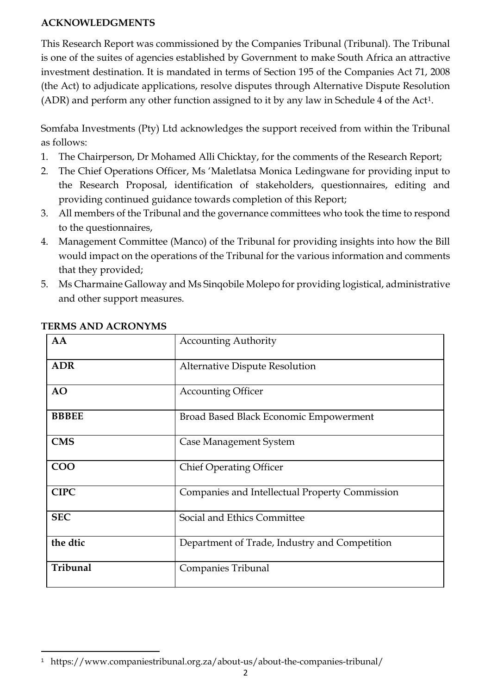### **ACKNOWLEDGMENTS**

This Research Report was commissioned by the Companies Tribunal (Tribunal). The Tribunal is one of the suites of agencies established by Government to make South Africa an attractive investment destination. It is mandated in terms of Section 195 of the Companies Act 71, 2008 (the Act) to adjudicate applications, resolve disputes through Alternative Dispute Resolution (ADR) and perform any other function assigned to it by any law in Schedule 4 of the Act[1](#page-2-0).

Somfaba Investments (Pty) Ltd acknowledges the support received from within the Tribunal as follows:

- 1. The Chairperson, Dr Mohamed Alli Chicktay, for the comments of the Research Report;
- 2. The Chief Operations Officer, Ms 'Maletlatsa Monica Ledingwane for providing input to the Research Proposal, identification of stakeholders, questionnaires, editing and providing continued guidance towards completion of this Report;
- 3. All members of the Tribunal and the governance committees who took the time to respond to the questionnaires,
- 4. Management Committee (Manco) of the Tribunal for providing insights into how the Bill would impact on the operations of the Tribunal for the various information and comments that they provided;
- 5. Ms Charmaine Galloway and Ms Sinqobile Molepo for providing logistical, administrative and other support measures.

| AA           | <b>Accounting Authority</b>                    |  |
|--------------|------------------------------------------------|--|
| <b>ADR</b>   | Alternative Dispute Resolution                 |  |
| <b>AO</b>    | <b>Accounting Officer</b>                      |  |
| <b>BBBEE</b> | Broad Based Black Economic Empowerment         |  |
| <b>CMS</b>   | Case Management System                         |  |
| <b>COO</b>   | <b>Chief Operating Officer</b>                 |  |
| <b>CIPC</b>  | Companies and Intellectual Property Commission |  |
| <b>SEC</b>   | Social and Ethics Committee                    |  |
| the dtic     | Department of Trade, Industry and Competition  |  |
| Tribunal     | Companies Tribunal                             |  |

## **TERMS AND ACRONYMS**

<span id="page-2-0"></span> $\overline{a}$ 1 https://www.companiestribunal.org.za/about-us/about-the-companies-tribunal/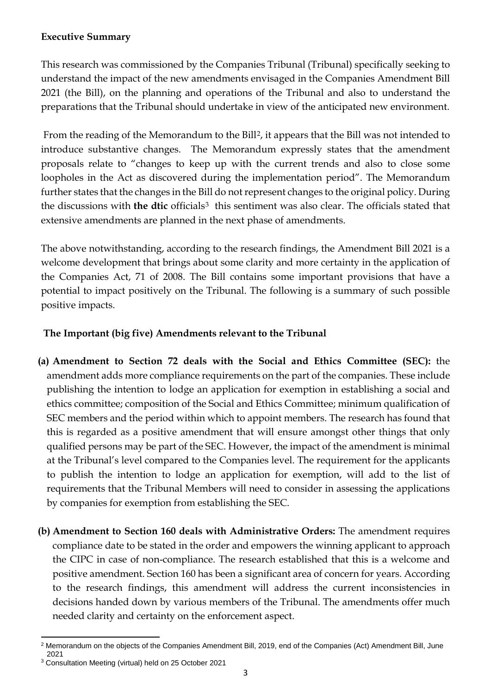# **Executive Summary**

This research was commissioned by the Companies Tribunal (Tribunal) specifically seeking to understand the impact of the new amendments envisaged in the Companies Amendment Bill 2021 (the Bill), on the planning and operations of the Tribunal and also to understand the preparations that the Tribunal should undertake in view of the anticipated new environment.

From the reading of the Memorandum to the Bill<sup>2</sup>, it appears that the Bill was not intended to introduce substantive changes. The Memorandum expressly states that the amendment proposals relate to "changes to keep up with the current trends and also to close some loopholes in the Act as discovered during the implementation period". The Memorandum further states that the changes in the Bill do not represent changes to the original policy. During the discussions with **the dtic** officials<sup>[3](#page-3-1)</sup> this sentiment was also clear. The officials stated that extensive amendments are planned in the next phase of amendments.

The above notwithstanding, according to the research findings, the Amendment Bill 2021 is a welcome development that brings about some clarity and more certainty in the application of the Companies Act, 71 of 2008. The Bill contains some important provisions that have a potential to impact positively on the Tribunal. The following is a summary of such possible positive impacts.

# **The Important (big five) Amendments relevant to the Tribunal**

- **(a) Amendment to Section 72 deals with the Social and Ethics Committee (SEC):** the amendment adds more compliance requirements on the part of the companies. These include publishing the intention to lodge an application for exemption in establishing a social and ethics committee; composition of the Social and Ethics Committee; minimum qualification of SEC members and the period within which to appoint members. The research has found that this is regarded as a positive amendment that will ensure amongst other things that only qualified persons may be part of the SEC. However, the impact of the amendment is minimal at the Tribunal's level compared to the Companies level. The requirement for the applicants to publish the intention to lodge an application for exemption, will add to the list of requirements that the Tribunal Members will need to consider in assessing the applications by companies for exemption from establishing the SEC.
- **(b) Amendment to Section 160 deals with Administrative Orders:** The amendment requires compliance date to be stated in the order and empowers the winning applicant to approach the CIPC in case of non-compliance. The research established that this is a welcome and positive amendment. Section 160 has been a significant area of concern for years. According to the research findings, this amendment will address the current inconsistencies in decisions handed down by various members of the Tribunal. The amendments offer much needed clarity and certainty on the enforcement aspect.

<span id="page-3-0"></span> $\overline{a}$ <sup>2</sup> Memorandum on the objects of the Companies Amendment Bill, 2019, end of the Companies (Act) Amendment Bill, June 2021

<span id="page-3-1"></span><sup>3</sup> Consultation Meeting (virtual) held on 25 October 2021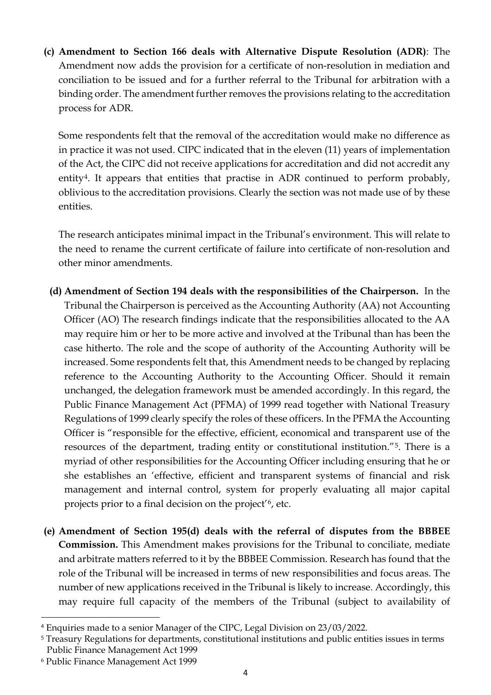**(c) Amendment to Section 166 deals with Alternative Dispute Resolution (ADR)**: The Amendment now adds the provision for a certificate of non-resolution in mediation and conciliation to be issued and for a further referral to the Tribunal for arbitration with a binding order. The amendment further removes the provisions relating to the accreditation process for ADR.

Some respondents felt that the removal of the accreditation would make no difference as in practice it was not used. CIPC indicated that in the eleven (11) years of implementation of the Act, the CIPC did not receive applications for accreditation and did not accredit any entity<sup>[4](#page-4-0)</sup>. It appears that entities that practise in ADR continued to perform probably, oblivious to the accreditation provisions. Clearly the section was not made use of by these entities.

The research anticipates minimal impact in the Tribunal's environment. This will relate to the need to rename the current certificate of failure into certificate of non-resolution and other minor amendments.

- **(d) Amendment of Section 194 deals with the responsibilities of the Chairperson.** In the Tribunal the Chairperson is perceived as the Accounting Authority (AA) not Accounting Officer (AO) The research findings indicate that the responsibilities allocated to the AA may require him or her to be more active and involved at the Tribunal than has been the case hitherto. The role and the scope of authority of the Accounting Authority will be increased. Some respondents felt that, this Amendment needs to be changed by replacing reference to the Accounting Authority to the Accounting Officer. Should it remain unchanged, the delegation framework must be amended accordingly. In this regard, the Public Finance Management Act (PFMA) of 1999 read together with National Treasury Regulations of 1999 clearly specify the roles of these officers. In the PFMA the Accounting Officer is "responsible for the effective, efficient, economical and transparent use of the resources of the department, trading entity or constitutional institution."<sup>[5](#page-4-1)</sup>. There is a myriad of other responsibilities for the Accounting Officer including ensuring that he or she establishes an 'effective, efficient and transparent systems of financial and risk management and internal control, system for properly evaluating all major capital projects prior to a final decision on the project'<sup>[6](#page-4-2)</sup>, etc.
- **(e) Amendment of Section 195(d) deals with the referral of disputes from the BBBEE Commission.** This Amendment makes provisions for the Tribunal to conciliate, mediate and arbitrate matters referred to it by the BBBEE Commission. Research has found that the role of the Tribunal will be increased in terms of new responsibilities and focus areas. The number of new applications received in the Tribunal is likely to increase. Accordingly, this may require full capacity of the members of the Tribunal (subject to availability of

l

<span id="page-4-0"></span><sup>4</sup> Enquiries made to a senior Manager of the CIPC, Legal Division on 23/03/2022.

<span id="page-4-1"></span><sup>5</sup> Treasury Regulations for departments, constitutional institutions and public entities issues in terms Public Finance Management Act 1999

<span id="page-4-2"></span><sup>6</sup> Public Finance Management Act 1999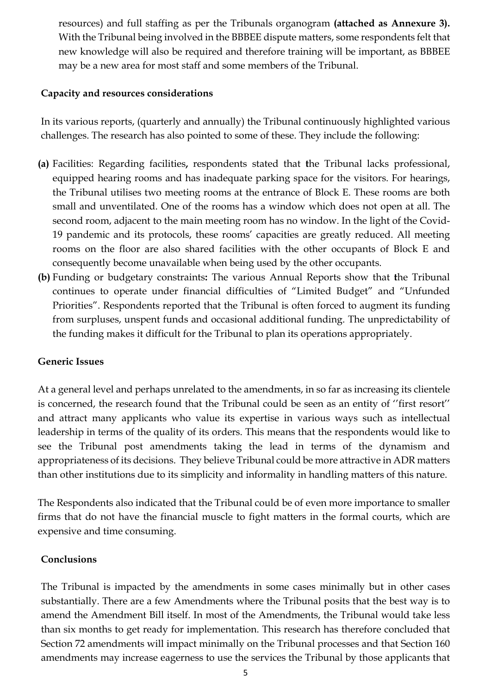resources) and full staffing as per the Tribunals organogram **(attached as Annexure 3).** With the Tribunal being involved in the BBBEE dispute matters, some respondents felt that new knowledge will also be required and therefore training will be important, as BBBEE may be a new area for most staff and some members of the Tribunal.

#### **Capacity and resources considerations**

In its various reports, (quarterly and annually) the Tribunal continuously highlighted various challenges. The research has also pointed to some of these. They include the following:

- **(a)** Facilities: Regarding facilities**,** respondents stated that **t**he Tribunal lacks professional, equipped hearing rooms and has inadequate parking space for the visitors. For hearings, the Tribunal utilises two meeting rooms at the entrance of Block E. These rooms are both small and unventilated. One of the rooms has a window which does not open at all. The second room, adjacent to the main meeting room has no window. In the light of the Covid-19 pandemic and its protocols, these rooms' capacities are greatly reduced. All meeting rooms on the floor are also shared facilities with the other occupants of Block E and consequently become unavailable when being used by the other occupants.
- **(b)** Funding or budgetary constraints**:** The various Annual Reports show that **t**he Tribunal continues to operate under financial difficulties of "Limited Budget" and "Unfunded Priorities". Respondents reported that the Tribunal is often forced to augment its funding from surpluses, unspent funds and occasional additional funding. The unpredictability of the funding makes it difficult for the Tribunal to plan its operations appropriately.

## **Generic Issues**

At a general level and perhaps unrelated to the amendments, in so far as increasing its clientele is concerned, the research found that the Tribunal could be seen as an entity of ''first resort'' and attract many applicants who value its expertise in various ways such as intellectual leadership in terms of the quality of its orders. This means that the respondents would like to see the Tribunal post amendments taking the lead in terms of the dynamism and appropriateness of its decisions. They believe Tribunal could be more attractive in ADR matters than other institutions due to its simplicity and informality in handling matters of this nature.

The Respondents also indicated that the Tribunal could be of even more importance to smaller firms that do not have the financial muscle to fight matters in the formal courts, which are expensive and time consuming.

#### **Conclusions**

The Tribunal is impacted by the amendments in some cases minimally but in other cases substantially. There are a few Amendments where the Tribunal posits that the best way is to amend the Amendment Bill itself. In most of the Amendments, the Tribunal would take less than six months to get ready for implementation. This research has therefore concluded that Section 72 amendments will impact minimally on the Tribunal processes and that Section 160 amendments may increase eagerness to use the services the Tribunal by those applicants that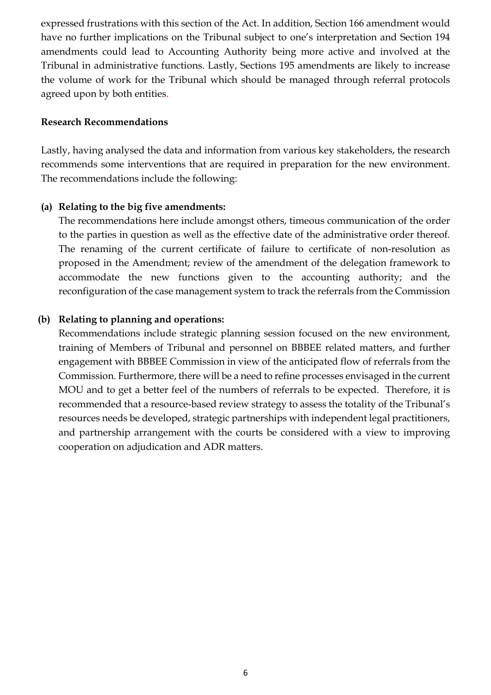expressed frustrations with this section of the Act. In addition, Section 166 amendment would have no further implications on the Tribunal subject to one's interpretation and Section 194 amendments could lead to Accounting Authority being more active and involved at the Tribunal in administrative functions. Lastly, Sections 195 amendments are likely to increase the volume of work for the Tribunal which should be managed through referral protocols agreed upon by both entities.

#### **Research Recommendations**

Lastly, having analysed the data and information from various key stakeholders, the research recommends some interventions that are required in preparation for the new environment. The recommendations include the following:

## **(a) Relating to the big five amendments:**

The recommendations here include amongst others, timeous communication of the order to the parties in question as well as the effective date of the administrative order thereof. The renaming of the current certificate of failure to certificate of non-resolution as proposed in the Amendment; review of the amendment of the delegation framework to accommodate the new functions given to the accounting authority; and the reconfiguration of the case management system to track the referrals from the Commission

## **(b) Relating to planning and operations:**

Recommendations include strategic planning session focused on the new environment, training of Members of Tribunal and personnel on BBBEE related matters, and further engagement with BBBEE Commission in view of the anticipated flow of referrals from the Commission. Furthermore, there will be a need to refine processes envisaged in the current MOU and to get a better feel of the numbers of referrals to be expected. Therefore, it is recommended that a resource-based review strategy to assess the totality of the Tribunal's resources needs be developed, strategic partnerships with independent legal practitioners, and partnership arrangement with the courts be considered with a view to improving cooperation on adjudication and ADR matters.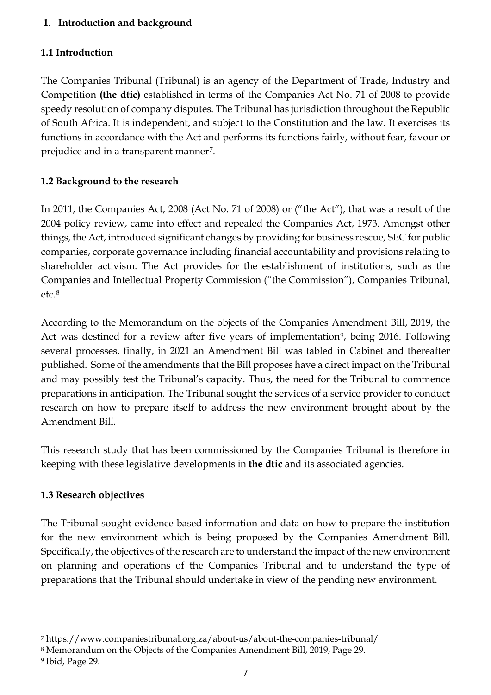# <span id="page-7-0"></span>**1. Introduction and background**

# <span id="page-7-1"></span>**1.1 Introduction**

The Companies Tribunal (Tribunal) is an agency of the Department of Trade, Industry and Competition **(the dtic)** established in terms of the Companies Act No. 71 of 2008 to provide speedy resolution of company disputes. The Tribunal has jurisdiction throughout the Republic of South Africa. It is independent, and subject to the Constitution and the law. It exercises its functions in accordance with the Act and performs its functions fairly, without fear, favour or prejudice and in a transparent manner[7](#page-7-4).

# <span id="page-7-2"></span>**1.2 Background to the research**

In 2011, the Companies Act, 2008 (Act No. 71 of 2008) or ("the Act"), that was a result of the 2004 policy review, came into effect and repealed the Companies Act, 1973. Amongst other things, the Act, introduced significant changes by providing for business rescue, SEC for public companies, corporate governance including financial accountability and provisions relating to shareholder activism. The Act provides for the establishment of institutions, such as the Companies and Intellectual Property Commission ("the Commission"), Companies Tribunal, etc.[8](#page-7-5)

According to the Memorandum on the objects of the Companies Amendment Bill, 2019, the Act was destined for a review after five years of implementation<sup>9</sup>, being 2016. Following several processes, finally, in 2021 an Amendment Bill was tabled in Cabinet and thereafter published. Some of the amendments that the Bill proposes have a direct impact on the Tribunal and may possibly test the Tribunal's capacity. Thus, the need for the Tribunal to commence preparations in anticipation. The Tribunal sought the services of a service provider to conduct research on how to prepare itself to address the new environment brought about by the Amendment Bill.

This research study that has been commissioned by the Companies Tribunal is therefore in keeping with these legislative developments in **the dtic** and its associated agencies.

## <span id="page-7-3"></span>**1.3 Research objectives**

The Tribunal sought evidence-based information and data on how to prepare the institution for the new environment which is being proposed by the Companies Amendment Bill. Specifically, the objectives of the research are to understand the impact of the new environment on planning and operations of the Companies Tribunal and to understand the type of preparations that the Tribunal should undertake in view of the pending new environment.

<span id="page-7-4"></span> $\overline{a}$ <sup>7</sup> https://www.companiestribunal.org.za/about-us/about-the-companies-tribunal/

<span id="page-7-5"></span><sup>8</sup> Memorandum on the Objects of the Companies Amendment Bill, 2019, Page 29.

<span id="page-7-6"></span><sup>9</sup> Ibid, Page 29.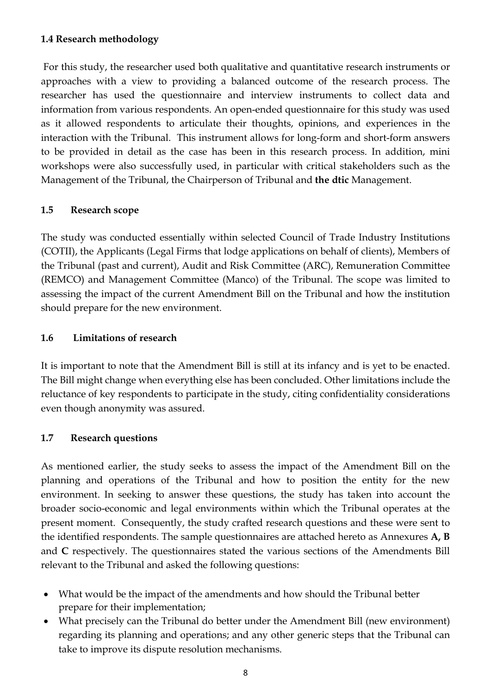#### <span id="page-8-0"></span>**1.4 Research methodology**

For this study, the researcher used both qualitative and quantitative research instruments or approaches with a view to providing a balanced outcome of the research process. The researcher has used the questionnaire and interview instruments to collect data and information from various respondents. An open-ended questionnaire for this study was used as it allowed respondents to articulate their thoughts, opinions, and experiences in the interaction with the Tribunal. This instrument allows for long-form and short-form answers to be provided in detail as the case has been in this research process. In addition, mini workshops were also successfully used, in particular with critical stakeholders such as the Management of the Tribunal, the Chairperson of Tribunal and **the dtic** Management.

## <span id="page-8-1"></span>**1.5 Research scope**

The study was conducted essentially within selected Council of Trade Industry Institutions (COTII), the Applicants (Legal Firms that lodge applications on behalf of clients), Members of the Tribunal (past and current), Audit and Risk Committee (ARC), Remuneration Committee (REMCO) and Management Committee (Manco) of the Tribunal. The scope was limited to assessing the impact of the current Amendment Bill on the Tribunal and how the institution should prepare for the new environment.

## <span id="page-8-2"></span>**1.6 Limitations of research**

It is important to note that the Amendment Bill is still at its infancy and is yet to be enacted. The Bill might change when everything else has been concluded. Other limitations include the reluctance of key respondents to participate in the study, citing confidentiality considerations even though anonymity was assured.

## <span id="page-8-3"></span>**1.7 Research questions**

As mentioned earlier, the study seeks to assess the impact of the Amendment Bill on the planning and operations of the Tribunal and how to position the entity for the new environment. In seeking to answer these questions, the study has taken into account the broader socio-economic and legal environments within which the Tribunal operates at the present moment. Consequently, the study crafted research questions and these were sent to the identified respondents. The sample questionnaires are attached hereto as Annexures **A, B** and **C** respectively. The questionnaires stated the various sections of the Amendments Bill relevant to the Tribunal and asked the following questions:

- What would be the impact of the amendments and how should the Tribunal better prepare for their implementation;
- What precisely can the Tribunal do better under the Amendment Bill (new environment) regarding its planning and operations; and any other generic steps that the Tribunal can take to improve its dispute resolution mechanisms.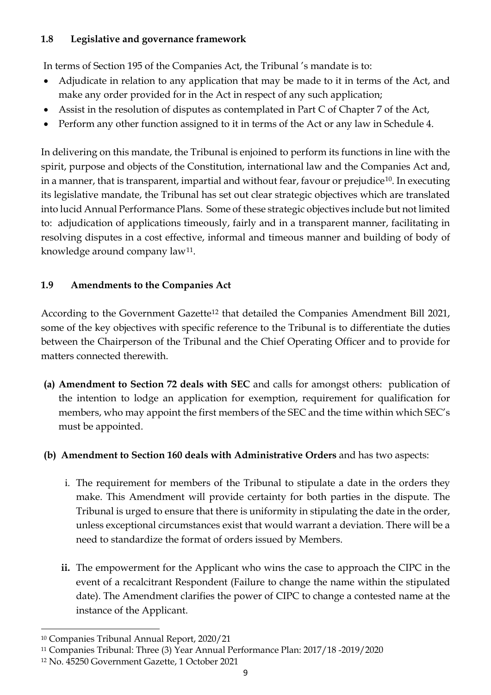# <span id="page-9-0"></span>**1.8 Legislative and governance framework**

In terms of Section 195 of the Companies Act, the Tribunal 's mandate is to:

- Adjudicate in relation to any application that may be made to it in terms of the Act, and make any order provided for in the Act in respect of any such application;
- Assist in the resolution of disputes as contemplated in Part C of Chapter 7 of the Act,
- Perform any other function assigned to it in terms of the Act or any law in Schedule 4.

In delivering on this mandate, the Tribunal is enjoined to perform its functions in line with the spirit, purpose and objects of the Constitution, international law and the Companies Act and, in a manner, that is transparent, impartial and without fear, favour or prejudice<sup>[10](#page-9-2)</sup>. In executing its legislative mandate, the Tribunal has set out clear strategic objectives which are translated into lucid Annual Performance Plans. Some of these strategic objectives include but not limited to: adjudication of applications timeously, fairly and in a transparent manner, facilitating in resolving disputes in a cost effective, informal and timeous manner and building of body of knowledge around company law<sup>[11](#page-9-3)</sup>.

# <span id="page-9-1"></span>**1.9 Amendments to the Companies Act**

According to the Government Gazette<sup>[12](#page-9-4)</sup> that detailed the Companies Amendment Bill 2021, some of the key objectives with specific reference to the Tribunal is to differentiate the duties between the Chairperson of the Tribunal and the Chief Operating Officer and to provide for matters connected therewith.

**(a) Amendment to Section 72 deals with SEC** and calls for amongst others: publication of the intention to lodge an application for exemption, requirement for qualification for members, who may appoint the first members of the SEC and the time within which SEC's must be appointed.

# **(b) Amendment to Section 160 deals with Administrative Orders** and has two aspects:

- i. The requirement for members of the Tribunal to stipulate a date in the orders they make. This Amendment will provide certainty for both parties in the dispute. The Tribunal is urged to ensure that there is uniformity in stipulating the date in the order, unless exceptional circumstances exist that would warrant a deviation. There will be a need to standardize the format of orders issued by Members.
- **ii.** The empowerment for the Applicant who wins the case to approach the CIPC in the event of a recalcitrant Respondent (Failure to change the name within the stipulated date). The Amendment clarifies the power of CIPC to change a contested name at the instance of the Applicant.

 $\overline{a}$ <sup>10</sup> Companies Tribunal Annual Report, 2020/21

<span id="page-9-3"></span><span id="page-9-2"></span><sup>11</sup> Companies Tribunal: Three (3) Year Annual Performance Plan: 2017/18 -2019/2020

<span id="page-9-4"></span><sup>12</sup> No. 45250 Government Gazette, 1 October 2021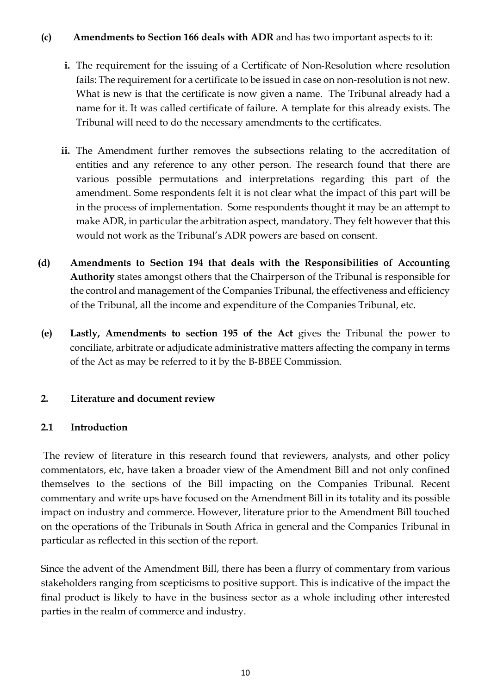## **(c) Amendments to Section 166 deals with ADR** and has two important aspects to it:

- **i.** The requirement for the issuing of a Certificate of Non-Resolution where resolution fails: The requirement for a certificate to be issued in case on non-resolution is not new. What is new is that the certificate is now given a name. The Tribunal already had a name for it. It was called certificate of failure. A template for this already exists. The Tribunal will need to do the necessary amendments to the certificates.
- **ii.** The Amendment further removes the subsections relating to the accreditation of entities and any reference to any other person. The research found that there are various possible permutations and interpretations regarding this part of the amendment. Some respondents felt it is not clear what the impact of this part will be in the process of implementation. Some respondents thought it may be an attempt to make ADR, in particular the arbitration aspect, mandatory. They felt however that this would not work as the Tribunal's ADR powers are based on consent.
- **(d) Amendments to Section 194 that deals with the Responsibilities of Accounting Authority** states amongst others that the Chairperson of the Tribunal is responsible for the control and management of the Companies Tribunal, the effectiveness and efficiency of the Tribunal, all the income and expenditure of the Companies Tribunal, etc.
- **(e) Lastly, Amendments to section 195 of the Act** gives the Tribunal the power to conciliate, arbitrate or adjudicate administrative matters affecting the company in terms of the Act as may be referred to it by the B-BBEE Commission.

# <span id="page-10-0"></span>**2. Literature and document review**

## <span id="page-10-1"></span>**2.1 Introduction**

The review of literature in this research found that reviewers, analysts, and other policy commentators, etc, have taken a broader view of the Amendment Bill and not only confined themselves to the sections of the Bill impacting on the Companies Tribunal. Recent commentary and write ups have focused on the Amendment Bill in its totality and its possible impact on industry and commerce. However, literature prior to the Amendment Bill touched on the operations of the Tribunals in South Africa in general and the Companies Tribunal in particular as reflected in this section of the report.

Since the advent of the Amendment Bill, there has been a flurry of commentary from various stakeholders ranging from scepticisms to positive support. This is indicative of the impact the final product is likely to have in the business sector as a whole including other interested parties in the realm of commerce and industry.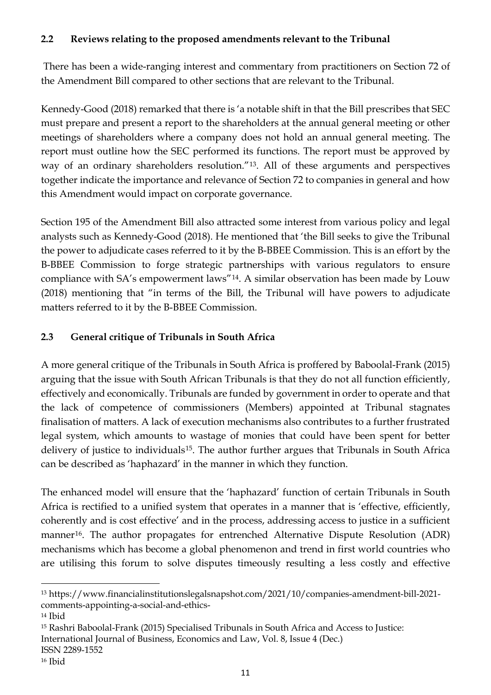# <span id="page-11-0"></span>**2.2 Reviews relating to the proposed amendments relevant to the Tribunal**

There has been a wide-ranging interest and commentary from practitioners on Section 72 of the Amendment Bill compared to other sections that are relevant to the Tribunal.

Kennedy-Good (2018) remarked that there is 'a notable shift in that the Bill prescribes that SEC must prepare and present a report to the shareholders at the annual general meeting or other meetings of shareholders where a company does not hold an annual general meeting. The report must outline how the SEC performed its functions. The report must be approved by way of an ordinary shareholders resolution."[13.](#page-11-2) All of these arguments and perspectives together indicate the importance and relevance of Section 72 to companies in general and how this Amendment would impact on corporate governance.

Section 195 of the Amendment Bill also attracted some interest from various policy and legal analysts such as Kennedy-Good (2018). He mentioned that 'the Bill seeks to give the Tribunal the power to adjudicate cases referred to it by the B-BBEE Commission. This is an effort by the B-BBEE Commission to forge strategic partnerships with various regulators to ensure compliance with SA's empowerment laws"[14.](#page-11-3) A similar observation has been made by Louw (2018) mentioning that "in terms of the Bill, the Tribunal will have powers to adjudicate matters referred to it by the B-BBEE Commission.

# <span id="page-11-1"></span>**2.3 General critique of Tribunals in South Africa**

A more general critique of the Tribunals in South Africa is proffered by Baboolal-Frank (2015) arguing that the issue with South African Tribunals is that they do not all function efficiently, effectively and economically. Tribunals are funded by government in order to operate and that the lack of competence of commissioners (Members) appointed at Tribunal stagnates finalisation of matters. A lack of execution mechanisms also contributes to a further frustrated legal system, which amounts to wastage of monies that could have been spent for better delivery of justice to individuals<sup>[15](#page-11-4)</sup>. The author further argues that Tribunals in South Africa can be described as 'haphazard' in the manner in which they function.

The enhanced model will ensure that the 'haphazard' function of certain Tribunals in South Africa is rectified to a unified system that operates in a manner that is 'effective, efficiently, coherently and is cost effective' and in the process, addressing access to justice in a sufficient manner<sup>[16](#page-11-5)</sup>. The author propagates for entrenched Alternative Dispute Resolution (ADR) mechanisms which has become a global phenomenon and trend in first world countries who are utilising this forum to solve disputes timeously resulting a less costly and effective

<span id="page-11-2"></span> $\overline{a}$ <sup>13</sup> https://www.financialinstitutionslegalsnapshot.com/2021/10/companies-amendment-bill-2021 comments-appointing-a-social-and-ethics-

<span id="page-11-3"></span><sup>14</sup> Ibid

<span id="page-11-4"></span><sup>15</sup> Rashri Baboolal-Frank (2015) Specialised Tribunals in South Africa and Access to Justice:

International Journal of Business, Economics and Law, Vol. 8, Issue 4 (Dec.)

ISSN 2289-1552

<span id="page-11-5"></span><sup>16</sup> Ibid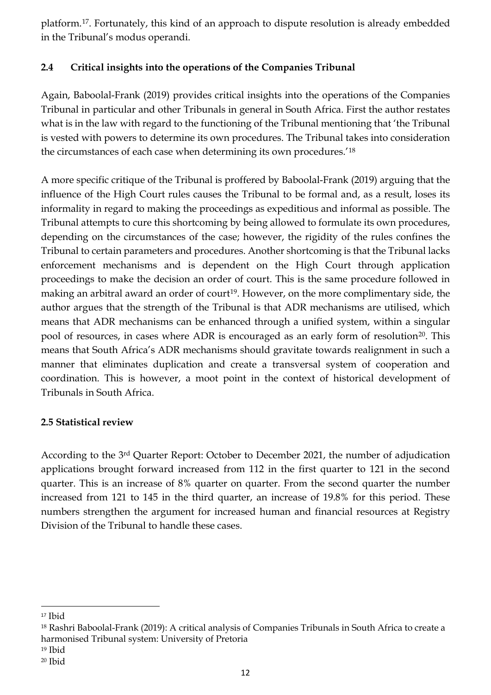platform.[17.](#page-12-2) Fortunately, this kind of an approach to dispute resolution is already embedded in the Tribunal's modus operandi.

# <span id="page-12-0"></span>**2.4 Critical insights into the operations of the Companies Tribunal**

Again, Baboolal-Frank (2019) provides critical insights into the operations of the Companies Tribunal in particular and other Tribunals in general in South Africa. First the author restates what is in the law with regard to the functioning of the Tribunal mentioning that 'the Tribunal is vested with powers to determine its own procedures. The Tribunal takes into consideration the circumstances of each case when determining its own procedures.'[18](#page-12-3)

A more specific critique of the Tribunal is proffered by Baboolal-Frank (2019) arguing that the influence of the High Court rules causes the Tribunal to be formal and, as a result, loses its informality in regard to making the proceedings as expeditious and informal as possible. The Tribunal attempts to cure this shortcoming by being allowed to formulate its own procedures, depending on the circumstances of the case; however, the rigidity of the rules confines the Tribunal to certain parameters and procedures. Another shortcoming is that the Tribunal lacks enforcement mechanisms and is dependent on the High Court through application proceedings to make the decision an order of court. This is the same procedure followed in making an arbitral award an order of court<sup>19</sup>. However, on the more complimentary side, the author argues that the strength of the Tribunal is that ADR mechanisms are utilised, which means that ADR mechanisms can be enhanced through a unified system, within a singular pool of resources, in cases where ADR is encouraged as an early form of resolution<sup>20</sup>. This means that South Africa's ADR mechanisms should gravitate towards realignment in such a manner that eliminates duplication and create a transversal system of cooperation and coordination. This is however, a moot point in the context of historical development of Tribunals in South Africa.

# <span id="page-12-1"></span>**2.5 Statistical review**

According to the 3rd Quarter Report: October to December 2021, the number of adjudication applications brought forward increased from 112 in the first quarter to 121 in the second quarter. This is an increase of 8% quarter on quarter. From the second quarter the number increased from 121 to 145 in the third quarter, an increase of 19.8% for this period. These numbers strengthen the argument for increased human and financial resources at Registry Division of the Tribunal to handle these cases.

 $\overline{a}$ 

<span id="page-12-2"></span><sup>17</sup> Ibid

<span id="page-12-3"></span><sup>18</sup> Rashri Baboolal-Frank (2019): A critical analysis of Companies Tribunals in South Africa to create a harmonised Tribunal system: University of Pretoria

<span id="page-12-4"></span><sup>19</sup> Ibid

<span id="page-12-5"></span><sup>20</sup> Ibid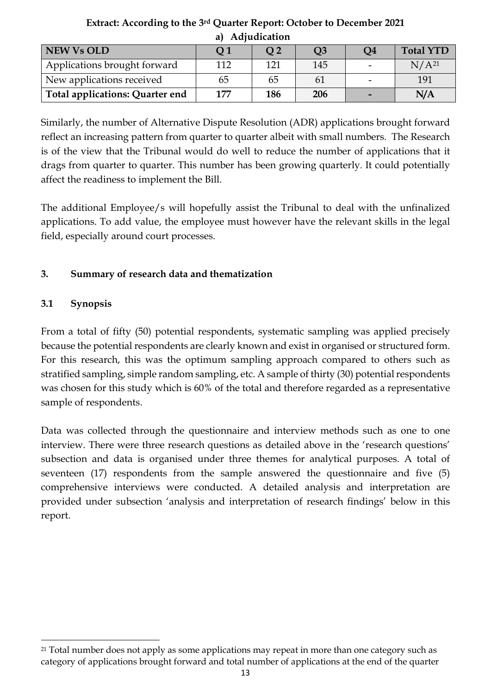| . .<br>                         |                |                |     |    |                   |
|---------------------------------|----------------|----------------|-----|----|-------------------|
| <b>NEW Vs OLD</b>               | Q <sub>1</sub> | O <sub>2</sub> | Q3  | Q4 | <b>Total YTD</b>  |
| Applications brought forward    | 112            | 121            | 145 |    | N/A <sup>21</sup> |
| New applications received       | 65             | 65             | 61  |    | 191               |
| Total applications: Quarter end | 177            | 186            | 206 |    | N/A               |

**Extract: According to the 3rd Quarter Report: October to December 2021 a) Adjudication** 

Similarly, the number of Alternative Dispute Resolution (ADR) applications brought forward reflect an increasing pattern from quarter to quarter albeit with small numbers. The Research is of the view that the Tribunal would do well to reduce the number of applications that it drags from quarter to quarter. This number has been growing quarterly. It could potentially affect the readiness to implement the Bill.

The additional Employee/s will hopefully assist the Tribunal to deal with the unfinalized applications. To add value, the employee must however have the relevant skills in the legal field, especially around court processes.

# <span id="page-13-0"></span>**3. Summary of research data and thematization**

# <span id="page-13-1"></span>**3.1 Synopsis**

l

From a total of fifty (50) potential respondents, systematic sampling was applied precisely because the potential respondents are clearly known and exist in organised or structured form. For this research, this was the optimum sampling approach compared to others such as stratified sampling, simple random sampling, etc. A sample of thirty (30) potential respondents was chosen for this study which is 60% of the total and therefore regarded as a representative sample of respondents.

Data was collected through the questionnaire and interview methods such as one to one interview. There were three research questions as detailed above in the 'research questions' subsection and data is organised under three themes for analytical purposes. A total of seventeen (17) respondents from the sample answered the questionnaire and five (5) comprehensive interviews were conducted. A detailed analysis and interpretation are provided under subsection 'analysis and interpretation of research findings' below in this report.

<span id="page-13-2"></span><sup>&</sup>lt;sup>21</sup> Total number does not apply as some applications may repeat in more than one category such as category of applications brought forward and total number of applications at the end of the quarter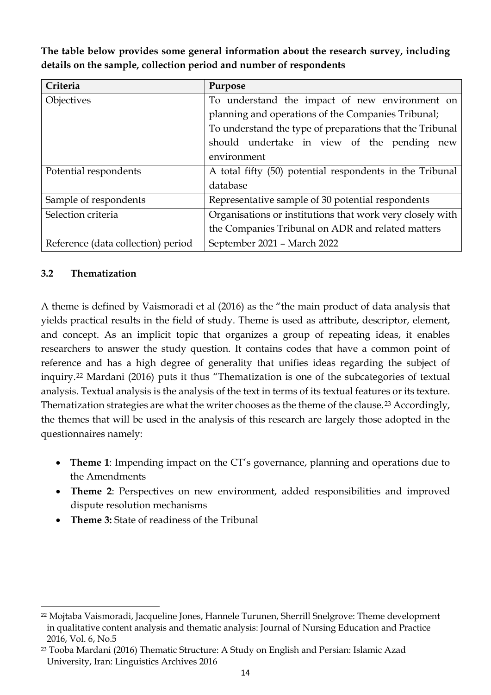| Criteria                           | Purpose                                                   |
|------------------------------------|-----------------------------------------------------------|
| Objectives                         | To understand the impact of new environment on            |
|                                    | planning and operations of the Companies Tribunal;        |
|                                    | To understand the type of preparations that the Tribunal  |
|                                    | should undertake in view of the pending new               |
|                                    | environment                                               |
| Potential respondents              | A total fifty (50) potential respondents in the Tribunal  |
|                                    | database                                                  |
| Sample of respondents              | Representative sample of 30 potential respondents         |
| Selection criteria                 | Organisations or institutions that work very closely with |
|                                    | the Companies Tribunal on ADR and related matters         |
| Reference (data collection) period | September 2021 - March 2022                               |

**The table below provides some general information about the research survey, including details on the sample, collection period and number of respondents**

#### <span id="page-14-0"></span>**3.2 Thematization**

 $\overline{a}$ 

A theme is defined by Vaismoradi et al (2016) as the "the main product of data analysis that yields practical results in the field of study. Theme is used as attribute, descriptor, element, and concept. As an implicit topic that organizes a group of repeating ideas, it enables researchers to answer the study question. It contains codes that have a common point of reference and has a high degree of generality that unifies ideas regarding the subject of inquiry.[22](#page-14-1) Mardani (2016) puts it thus "Thematization is one of the subcategories of textual analysis. Textual analysis is the analysis of the text in terms of its textual features or its texture. Thematization strategies are what the writer chooses as the theme of the clause.<sup>[23](#page-14-2)</sup> Accordingly, the themes that will be used in the analysis of this research are largely those adopted in the questionnaires namely:

- **Theme 1**: Impending impact on the CT's governance, planning and operations due to the Amendments
- **Theme 2**: Perspectives on new environment, added responsibilities and improved dispute resolution mechanisms
- **Theme 3:** State of readiness of the Tribunal

<span id="page-14-1"></span><sup>22</sup> Mojtaba Vaismoradi, Jacqueline Jones, Hannele Turunen, Sherrill Snelgrove: Theme development in qualitative content analysis and thematic analysis: Journal of Nursing Education and Practice 2016, Vol. 6, No.5

<span id="page-14-2"></span><sup>23</sup> Tooba Mardani (2016) Thematic Structure: A Study on English and Persian: Islamic Azad University, Iran: Linguistics Archives 2016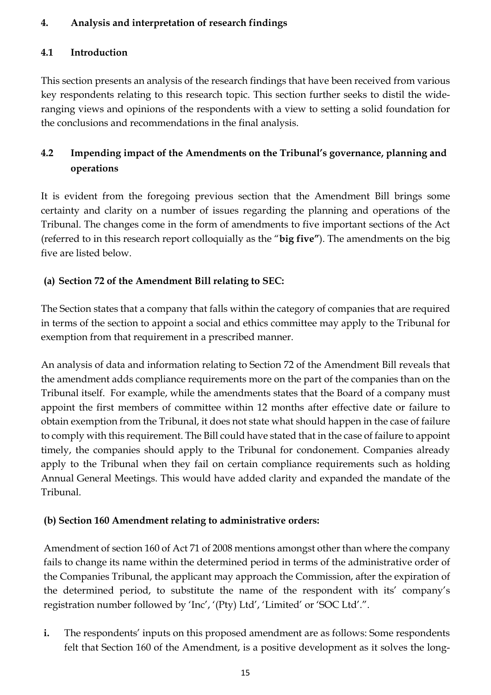# **4. Analysis and interpretation of research findings**

# <span id="page-15-0"></span>**4.1 Introduction**

This section presents an analysis of the research findings that have been received from various key respondents relating to this research topic. This section further seeks to distil the wideranging views and opinions of the respondents with a view to setting a solid foundation for the conclusions and recommendations in the final analysis.

# <span id="page-15-2"></span><span id="page-15-1"></span>**4.2 Impending impact of the Amendments on the Tribunal's governance, planning and operations**

It is evident from the foregoing previous section that the Amendment Bill brings some certainty and clarity on a number of issues regarding the planning and operations of the Tribunal. The changes come in the form of amendments to five important sections of the Act (referred to in this research report colloquially as the "**big five"**). The amendments on the big five are listed below.

# **(a) Section 72 of the Amendment Bill relating to SEC:**

The Section states that a company that falls within the category of companies that are required in terms of the section to appoint a social and ethics committee may apply to the Tribunal for exemption from that requirement in a prescribed manner.

An analysis of data and information relating to Section 72 of the Amendment Bill reveals that the amendment adds compliance requirements more on the part of the companies than on the Tribunal itself. For example, while the amendments states that the Board of a company must appoint the first members of committee within 12 months after effective date or failure to obtain exemption from the Tribunal, it does not state what should happen in the case of failure to comply with this requirement. The Bill could have stated that in the case of failure to appoint timely, the companies should apply to the Tribunal for condonement. Companies already apply to the Tribunal when they fail on certain compliance requirements such as holding Annual General Meetings. This would have added clarity and expanded the mandate of the Tribunal.

# **(b) Section 160 Amendment relating to administrative orders:**

Amendment of section 160 of Act 71 of 2008 mentions amongst other than where the company fails to change its name within the determined period in terms of the administrative order of the Companies Tribunal, the applicant may approach the Commission, after the expiration of the determined period, to substitute the name of the respondent with its' company's registration number followed by 'Inc', '(Pty) Ltd', 'Limited' or 'SOC Ltd'.".

**i.** The respondents' inputs on this proposed amendment are as follows: Some respondents felt that Section 160 of the Amendment, is a positive development as it solves the long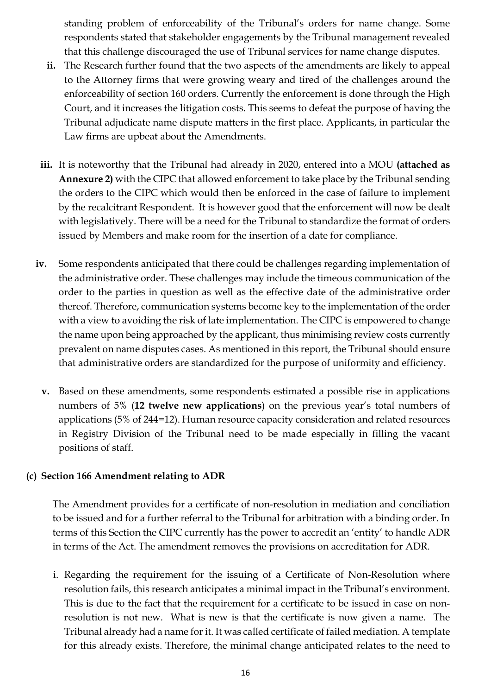standing problem of enforceability of the Tribunal's orders for name change. Some respondents stated that stakeholder engagements by the Tribunal management revealed that this challenge discouraged the use of Tribunal services for name change disputes.

- **ii.** The Research further found that the two aspects of the amendments are likely to appeal to the Attorney firms that were growing weary and tired of the challenges around the enforceability of section 160 orders. Currently the enforcement is done through the High Court, and it increases the litigation costs. This seems to defeat the purpose of having the Tribunal adjudicate name dispute matters in the first place. Applicants, in particular the Law firms are upbeat about the Amendments.
- **iii.** It is noteworthy that the Tribunal had already in 2020, entered into a MOU **(attached as Annexure 2)** with the CIPC that allowed enforcement to take place by the Tribunal sending the orders to the CIPC which would then be enforced in the case of failure to implement by the recalcitrant Respondent. It is however good that the enforcement will now be dealt with legislatively. There will be a need for the Tribunal to standardize the format of orders issued by Members and make room for the insertion of a date for compliance.
- **iv.** Some respondents anticipated that there could be challenges regarding implementation of the administrative order. These challenges may include the timeous communication of the order to the parties in question as well as the effective date of the administrative order thereof. Therefore, communication systems become key to the implementation of the order with a view to avoiding the risk of late implementation. The CIPC is empowered to change the name upon being approached by the applicant, thus minimising review costs currently prevalent on name disputes cases. As mentioned in this report, the Tribunal should ensure that administrative orders are standardized for the purpose of uniformity and efficiency.
	- **v.** Based on these amendments, some respondents estimated a possible rise in applications numbers of 5% (**12 twelve new applications**) on the previous year's total numbers of applications (5% of 244=12). Human resource capacity consideration and related resources in Registry Division of the Tribunal need to be made especially in filling the vacant positions of staff.

## **(c) Section 166 Amendment relating to ADR**

The Amendment provides for a certificate of non-resolution in mediation and conciliation to be issued and for a further referral to the Tribunal for arbitration with a binding order. In terms of this Section the CIPC currently has the power to accredit an 'entity' to handle ADR in terms of the Act. The amendment removes the provisions on accreditation for ADR.

i. Regarding the requirement for the issuing of a Certificate of Non-Resolution where resolution fails, this research anticipates a minimal impact in the Tribunal's environment. This is due to the fact that the requirement for a certificate to be issued in case on nonresolution is not new. What is new is that the certificate is now given a name. The Tribunal already had a name for it. It was called certificate of failed mediation. A template for this already exists. Therefore, the minimal change anticipated relates to the need to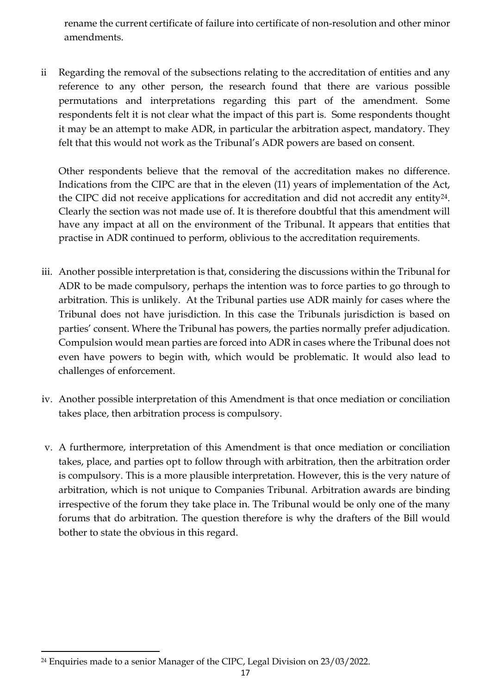rename the current certificate of failure into certificate of non-resolution and other minor amendments.

ii Regarding the removal of the subsections relating to the accreditation of entities and any reference to any other person, the research found that there are various possible permutations and interpretations regarding this part of the amendment. Some respondents felt it is not clear what the impact of this part is. Some respondents thought it may be an attempt to make ADR, in particular the arbitration aspect, mandatory. They felt that this would not work as the Tribunal's ADR powers are based on consent.

Other respondents believe that the removal of the accreditation makes no difference. Indications from the CIPC are that in the eleven (11) years of implementation of the Act, the CIPC did not receive applications for accreditation and did not accredit any entity<sup>24</sup>. Clearly the section was not made use of. It is therefore doubtful that this amendment will have any impact at all on the environment of the Tribunal. It appears that entities that practise in ADR continued to perform, oblivious to the accreditation requirements.

- iii. Another possible interpretation is that, considering the discussions within the Tribunal for ADR to be made compulsory, perhaps the intention was to force parties to go through to arbitration. This is unlikely. At the Tribunal parties use ADR mainly for cases where the Tribunal does not have jurisdiction. In this case the Tribunals jurisdiction is based on parties' consent. Where the Tribunal has powers, the parties normally prefer adjudication. Compulsion would mean parties are forced into ADR in cases where the Tribunal does not even have powers to begin with, which would be problematic. It would also lead to challenges of enforcement.
- iv. Another possible interpretation of this Amendment is that once mediation or conciliation takes place, then arbitration process is compulsory.
- v. A furthermore, interpretation of this Amendment is that once mediation or conciliation takes, place, and parties opt to follow through with arbitration, then the arbitration order is compulsory. This is a more plausible interpretation. However, this is the very nature of arbitration, which is not unique to Companies Tribunal. Arbitration awards are binding irrespective of the forum they take place in. The Tribunal would be only one of the many forums that do arbitration. The question therefore is why the drafters of the Bill would bother to state the obvious in this regard.

<span id="page-17-0"></span> $\overline{a}$ <sup>24</sup> Enquiries made to a senior Manager of the CIPC, Legal Division on 23/03/2022.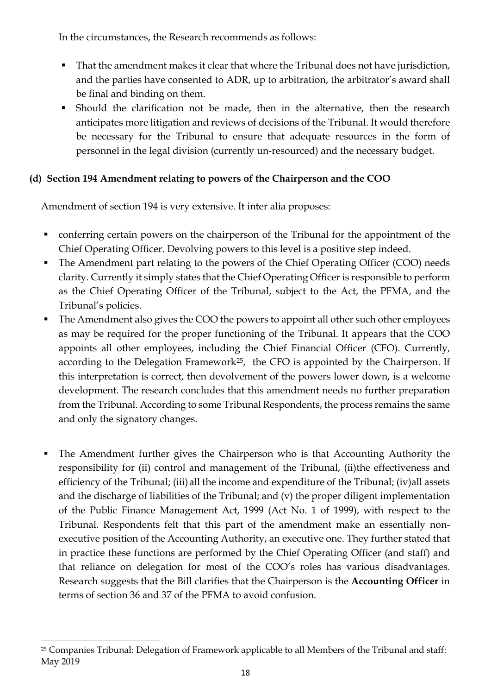In the circumstances, the Research recommends as follows:

- That the amendment makes it clear that where the Tribunal does not have jurisdiction, and the parties have consented to ADR, up to arbitration, the arbitrator's award shall be final and binding on them.
- Should the clarification not be made, then in the alternative, then the research anticipates more litigation and reviews of decisions of the Tribunal. It would therefore be necessary for the Tribunal to ensure that adequate resources in the form of personnel in the legal division (currently un-resourced) and the necessary budget.

# **(d) Section 194 Amendment relating to powers of the Chairperson and the COO**

Amendment of section 194 is very extensive. It inter alia proposes:

- conferring certain powers on the chairperson of the Tribunal for the appointment of the Chief Operating Officer. Devolving powers to this level is a positive step indeed.
- The Amendment part relating to the powers of the Chief Operating Officer (COO) needs clarity. Currently it simply states that the Chief Operating Officer is responsible to perform as the Chief Operating Officer of the Tribunal, subject to the Act, the PFMA, and the Tribunal's policies.
- The Amendment also gives the COO the powers to appoint all other such other employees as may be required for the proper functioning of the Tribunal. It appears that the COO appoints all other employees, including the Chief Financial Officer (CFO). Currently, according to the Delegation Framework<sup>[25](#page-18-0)</sup>, the CFO is appointed by the Chairperson. If this interpretation is correct, then devolvement of the powers lower down, is a welcome development. The research concludes that this amendment needs no further preparation from the Tribunal. According to some Tribunal Respondents, the process remains the same and only the signatory changes.
- The Amendment further gives the Chairperson who is that Accounting Authority the responsibility for (ii) control and management of the Tribunal, (ii)the effectiveness and efficiency of the Tribunal; (iii) all the income and expenditure of the Tribunal; (iv) all assets and the discharge of liabilities of the Tribunal; and (v) the proper diligent implementation of the Public Finance Management Act, 1999 (Act No. 1 of 1999), with respect to the Tribunal. Respondents felt that this part of the amendment make an essentially nonexecutive position of the Accounting Authority, an executive one. They further stated that in practice these functions are performed by the Chief Operating Officer (and staff) and that reliance on delegation for most of the COO's roles has various disadvantages. Research suggests that the Bill clarifies that the Chairperson is the **Accounting Officer** in terms of section 36 and 37 of the PFMA to avoid confusion.

<span id="page-18-0"></span>l <sup>25</sup> Companies Tribunal: Delegation of Framework applicable to all Members of the Tribunal and staff: May 2019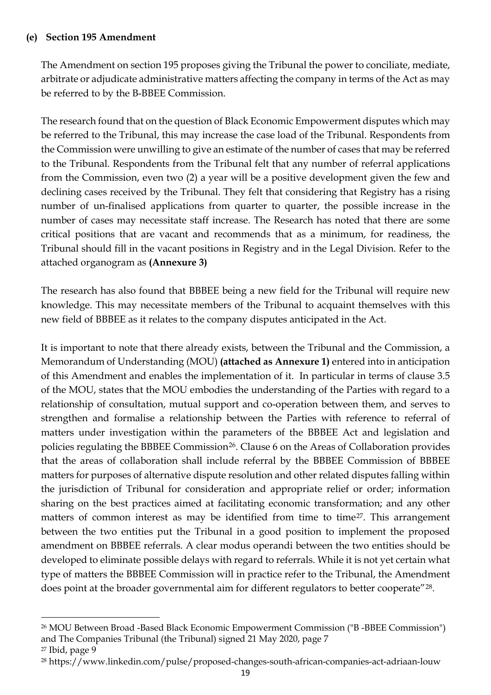#### **(e) Section 195 Amendment**

The Amendment on section 195 proposes giving the Tribunal the power to conciliate, mediate, arbitrate or adjudicate administrative matters affecting the company in terms of the Act as may be referred to by the B-BBEE Commission.

The research found that on the question of Black Economic Empowerment disputes which may be referred to the Tribunal, this may increase the case load of the Tribunal. Respondents from the Commission were unwilling to give an estimate of the number of cases that may be referred to the Tribunal. Respondents from the Tribunal felt that any number of referral applications from the Commission, even two (2) a year will be a positive development given the few and declining cases received by the Tribunal. They felt that considering that Registry has a rising number of un-finalised applications from quarter to quarter, the possible increase in the number of cases may necessitate staff increase. The Research has noted that there are some critical positions that are vacant and recommends that as a minimum, for readiness, the Tribunal should fill in the vacant positions in Registry and in the Legal Division. Refer to the attached organogram as **(Annexure 3)**

The research has also found that BBBEE being a new field for the Tribunal will require new knowledge. This may necessitate members of the Tribunal to acquaint themselves with this new field of BBBEE as it relates to the company disputes anticipated in the Act.

It is important to note that there already exists, between the Tribunal and the Commission, a Memorandum of Understanding (MOU) **(attached as Annexure 1)** entered into in anticipation of this Amendment and enables the implementation of it. In particular in terms of clause 3.5 of the MOU, states that the MOU embodies the understanding of the Parties with regard to a relationship of consultation, mutual support and co-operation between them, and serves to strengthen and formalise a relationship between the Parties with reference to referral of matters under investigation within the parameters of the BBBEE Act and legislation and policies regulating the BBBEE Commission<sup>26</sup>. Clause 6 on the Areas of Collaboration provides that the areas of collaboration shall include referral by the BBBEE Commission of BBBEE matters for purposes of alternative dispute resolution and other related disputes falling within the jurisdiction of Tribunal for consideration and appropriate relief or order; information sharing on the best practices aimed at facilitating economic transformation; and any other matters of common interest as may be identified from time to time<sup>[27](#page-19-1)</sup>. This arrangement between the two entities put the Tribunal in a good position to implement the proposed amendment on BBBEE referrals. A clear modus operandi between the two entities should be developed to eliminate possible delays with regard to referrals. While it is not yet certain what type of matters the BBBEE Commission will in practice refer to the Tribunal, the Amendment does point at the broader governmental aim for different regulators to better cooperate"<sup>[28](#page-19-2)</sup>.

l

<span id="page-19-0"></span><sup>26</sup> MOU Between Broad -Based Black Economic Empowerment Commission ("B -BBEE Commission") and The Companies Tribunal (the Tribunal) signed 21 May 2020, page 7

<span id="page-19-1"></span><sup>27</sup> Ibid, page 9

<span id="page-19-2"></span><sup>28</sup> https://www.linkedin.com/pulse/proposed-changes-south-african-companies-act-adriaan-louw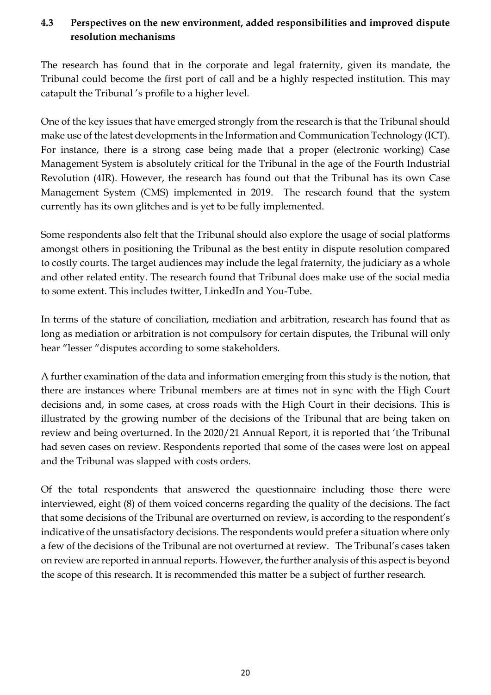# <span id="page-20-0"></span>**4.3 Perspectives on the new environment, added responsibilities and improved dispute resolution mechanisms**

The research has found that in the corporate and legal fraternity, given its mandate, the Tribunal could become the first port of call and be a highly respected institution. This may catapult the Tribunal 's profile to a higher level.

One of the key issues that have emerged strongly from the research is that the Tribunal should make use of the latest developments in the Information and Communication Technology (ICT). For instance, there is a strong case being made that a proper (electronic working) Case Management System is absolutely critical for the Tribunal in the age of the Fourth Industrial Revolution (4IR). However, the research has found out that the Tribunal has its own Case Management System (CMS) implemented in 2019. The research found that the system currently has its own glitches and is yet to be fully implemented.

Some respondents also felt that the Tribunal should also explore the usage of social platforms amongst others in positioning the Tribunal as the best entity in dispute resolution compared to costly courts. The target audiences may include the legal fraternity, the judiciary as a whole and other related entity. The research found that Tribunal does make use of the social media to some extent. This includes twitter, LinkedIn and You-Tube.

In terms of the stature of conciliation, mediation and arbitration, research has found that as long as mediation or arbitration is not compulsory for certain disputes, the Tribunal will only hear "lesser "disputes according to some stakeholders.

A further examination of the data and information emerging from this study is the notion, that there are instances where Tribunal members are at times not in sync with the High Court decisions and, in some cases, at cross roads with the High Court in their decisions. This is illustrated by the growing number of the decisions of the Tribunal that are being taken on review and being overturned. In the 2020/21 Annual Report, it is reported that 'the Tribunal had seven cases on review. Respondents reported that some of the cases were lost on appeal and the Tribunal was slapped with costs orders.

Of the total respondents that answered the questionnaire including those there were interviewed, eight (8) of them voiced concerns regarding the quality of the decisions. The fact that some decisions of the Tribunal are overturned on review, is according to the respondent's indicative of the unsatisfactory decisions. The respondents would prefer a situation where only a few of the decisions of the Tribunal are not overturned at review. The Tribunal's cases taken on review are reported in annual reports. However, the further analysis of this aspect is beyond the scope of this research. It is recommended this matter be a subject of further research.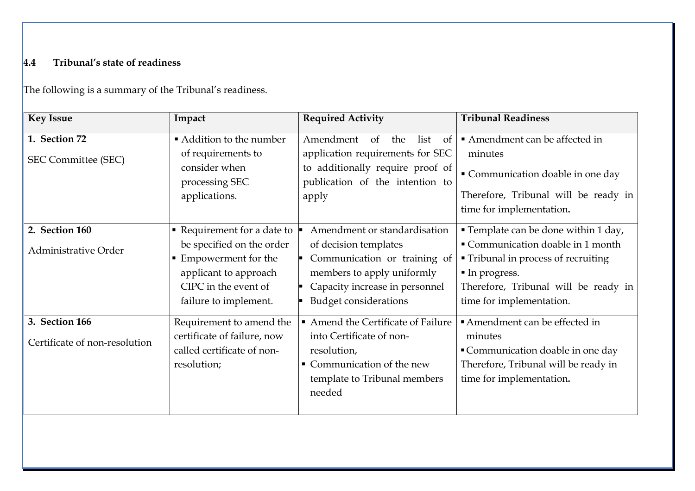# **4.4 Tribunal's state of readiness**

The following is a summary of the Tribunal's readiness.

<span id="page-21-0"></span>

| <b>Key Issue</b>              | Impact                                   | <b>Required Activity</b>                        | <b>Tribunal Readiness</b>                 |
|-------------------------------|------------------------------------------|-------------------------------------------------|-------------------------------------------|
| 1. Section 72                 | Addition to the number                   | Amendment<br>the<br>list<br><sub>of</sub><br>of | Amendment can be affected in              |
| SEC Committee (SEC)           | of requirements to                       | application requirements for SEC                | minutes                                   |
|                               | consider when                            | to additionally require proof of                | Communication doable in one day           |
|                               | processing SEC                           | publication of the intention to                 | Therefore, Tribunal will be ready in      |
|                               | applications.                            | apply                                           | time for implementation.                  |
| 2. Section 160                |                                          | Amendment or standardisation                    |                                           |
|                               | $\blacksquare$ Requirement for a date to |                                                 | <b>Template can be done within 1 day,</b> |
| Administrative Order          | be specified on the order                | of decision templates                           | Communication doable in 1 month           |
|                               | ■ Empowerment for the                    | Communication or training of                    | • Tribunal in process of recruiting       |
|                               | applicant to approach                    | members to apply uniformly                      | In progress.                              |
|                               | CIPC in the event of                     | Capacity increase in personnel                  | Therefore, Tribunal will be ready in      |
|                               | failure to implement.                    | <b>Budget considerations</b>                    | time for implementation.                  |
| 3. Section 166                | Requirement to amend the                 | Amend the Certificate of Failure                | Amendment can be effected in              |
| Certificate of non-resolution | certificate of failure, now              | into Certificate of non-                        | minutes                                   |
|                               | called certificate of non-               | resolution,                                     | Communication doable in one day           |
|                               | resolution;                              | • Communication of the new                      | Therefore, Tribunal will be ready in      |
|                               |                                          | template to Tribunal members                    | time for implementation.                  |
|                               |                                          | needed                                          |                                           |
|                               |                                          |                                                 |                                           |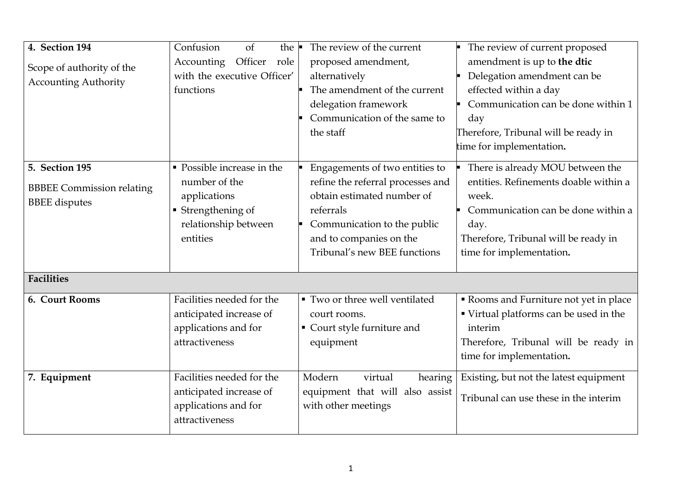| 4. Section 194<br>Scope of authority of the<br><b>Accounting Authority</b>                             | Confusion<br>of<br>the $\blacksquare$<br>Officer<br>Accounting<br>role<br>with the executive Officer'<br>functions    | The review of the current<br>proposed amendment,<br>alternatively<br>The amendment of the current<br>delegation framework<br>Communication of the same to<br>the staff                                   | The review of current proposed<br>amendment is up to the dtic<br>Delegation amendment can be<br>effected within a day<br>Communication can be done within 1<br>day<br>Therefore, Tribunal will be ready in<br>time for implementation. |
|--------------------------------------------------------------------------------------------------------|-----------------------------------------------------------------------------------------------------------------------|----------------------------------------------------------------------------------------------------------------------------------------------------------------------------------------------------------|----------------------------------------------------------------------------------------------------------------------------------------------------------------------------------------------------------------------------------------|
| <b>5. Section 195</b><br><b>BBBEE Commission relating</b><br><b>BBEE</b> disputes<br><b>Facilities</b> | • Possible increase in the<br>number of the<br>applications<br>• Strengthening of<br>relationship between<br>entities | Engagements of two entities to<br>refine the referral processes and<br>obtain estimated number of<br>referrals<br>Communication to the public<br>and to companies on the<br>Tribunal's new BEE functions | There is already MOU between the<br>entities. Refinements doable within a<br>week.<br>Communication can be done within a<br>day.<br>Therefore, Tribunal will be ready in<br>time for implementation.                                   |
| 6. Court Rooms                                                                                         | Facilities needed for the<br>anticipated increase of<br>applications and for<br>attractiveness                        | ■ Two or three well ventilated<br>court rooms.<br>Court style furniture and<br>equipment                                                                                                                 | Rooms and Furniture not yet in place<br>" Virtual platforms can be used in the<br>interim<br>Therefore, Tribunal will be ready in<br>time for implementation.                                                                          |
| 7. Equipment                                                                                           | Facilities needed for the<br>anticipated increase of<br>applications and for<br>attractiveness                        | virtual<br>Modern<br>hearing<br>equipment that will also assist<br>with other meetings                                                                                                                   | Existing, but not the latest equipment<br>Tribunal can use these in the interim                                                                                                                                                        |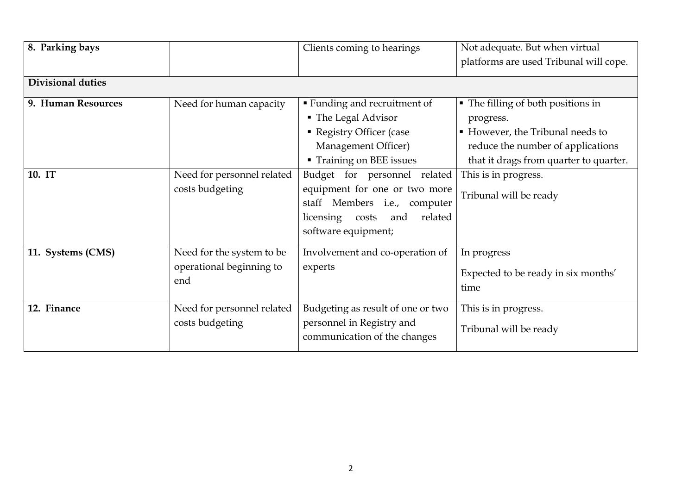| 8. Parking bays          |                                                              | Clients coming to hearings                                                                                                                                   | Not adequate. But when virtual<br>platforms are used Tribunal will cope.                                                                                           |
|--------------------------|--------------------------------------------------------------|--------------------------------------------------------------------------------------------------------------------------------------------------------------|--------------------------------------------------------------------------------------------------------------------------------------------------------------------|
| <b>Divisional duties</b> |                                                              |                                                                                                                                                              |                                                                                                                                                                    |
| 9. Human Resources       | Need for human capacity                                      | <b>Funding and recruitment of</b><br>• The Legal Advisor<br>• Registry Officer (case<br>Management Officer)<br>Training on BEE issues                        | • The filling of both positions in<br>progress.<br>• However, the Tribunal needs to<br>reduce the number of applications<br>that it drags from quarter to quarter. |
| 10. IT                   | Need for personnel related<br>costs budgeting                | Budget for personnel related<br>equipment for one or two more<br>staff Members i.e., computer<br>licensing<br>related<br>costs<br>and<br>software equipment; | This is in progress.<br>Tribunal will be ready                                                                                                                     |
| 11. Systems (CMS)        | Need for the system to be<br>operational beginning to<br>end | Involvement and co-operation of<br>experts                                                                                                                   | In progress<br>Expected to be ready in six months'<br>time                                                                                                         |
| 12. Finance              | Need for personnel related<br>costs budgeting                | Budgeting as result of one or two<br>personnel in Registry and<br>communication of the changes                                                               | This is in progress.<br>Tribunal will be ready                                                                                                                     |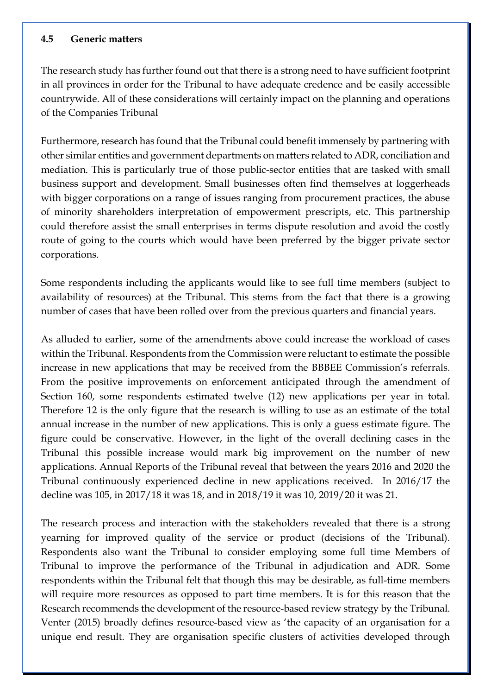#### <span id="page-24-0"></span>**4.5 Generic matters**

The research study has further found out that there is a strong need to have sufficient footprint in all provinces in order for the Tribunal to have adequate credence and be easily accessible countrywide. All of these considerations will certainly impact on the planning and operations of the Companies Tribunal

Furthermore, research has found that the Tribunal could benefit immensely by partnering with other similar entities and government departments on matters related to ADR, conciliation and mediation. This is particularly true of those public-sector entities that are tasked with small business support and development. Small businesses often find themselves at loggerheads with bigger corporations on a range of issues ranging from procurement practices, the abuse of minority shareholders interpretation of empowerment prescripts, etc. This partnership could therefore assist the small enterprises in terms dispute resolution and avoid the costly route of going to the courts which would have been preferred by the bigger private sector corporations.

Some respondents including the applicants would like to see full time members (subject to availability of resources) at the Tribunal. This stems from the fact that there is a growing number of cases that have been rolled over from the previous quarters and financial years.

As alluded to earlier, some of the amendments above could increase the workload of cases within the Tribunal. Respondents from the Commission were reluctant to estimate the possible increase in new applications that may be received from the BBBEE Commission's referrals. From the positive improvements on enforcement anticipated through the amendment of Section 160, some respondents estimated twelve (12) new applications per year in total. Therefore 12 is the only figure that the research is willing to use as an estimate of the total annual increase in the number of new applications. This is only a guess estimate figure. The figure could be conservative. However, in the light of the overall declining cases in the Tribunal this possible increase would mark big improvement on the number of new applications. Annual Reports of the Tribunal reveal that between the years 2016 and 2020 the Tribunal continuously experienced decline in new applications received. In 2016/17 the decline was 105, in 2017/18 it was 18, and in 2018/19 it was 10, 2019/20 it was 21.

The research process and interaction with the stakeholders revealed that there is a strong yearning for improved quality of the service or product (decisions of the Tribunal). Respondents also want the Tribunal to consider employing some full time Members of Tribunal to improve the performance of the Tribunal in adjudication and ADR. Some respondents within the Tribunal felt that though this may be desirable, as full-time members will require more resources as opposed to part time members. It is for this reason that the Research recommends the development of the resource-based review strategy by the Tribunal. Venter (2015) broadly defines resource-based view as 'the capacity of an organisation for a unique end result. They are organisation specific clusters of activities developed through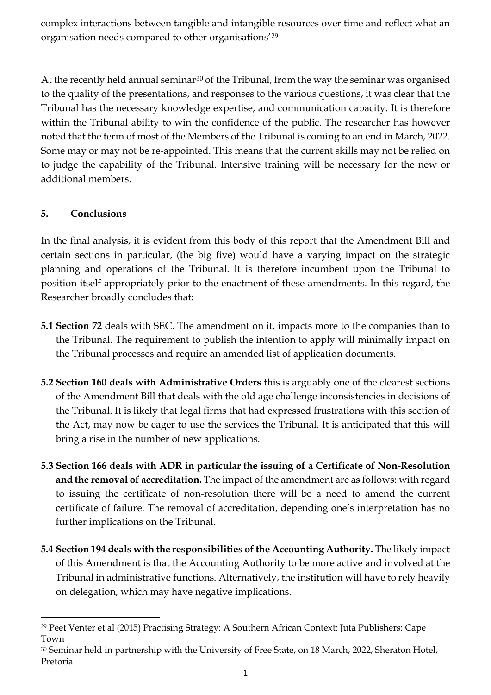complex interactions between tangible and intangible resources over time and reflect what an organisation needs compared to other organisations'[29](#page-25-1)

At the recently held annual seminar<sup>[30](#page-25-2)</sup> of the Tribunal, from the way the seminar was organised to the quality of the presentations, and responses to the various questions, it was clear that the Tribunal has the necessary knowledge expertise, and communication capacity. It is therefore within the Tribunal ability to win the confidence of the public. The researcher has however noted that the term of most of the Members of the Tribunal is coming to an end in March, 2022. Some may or may not be re-appointed. This means that the current skills may not be relied on to judge the capability of the Tribunal. Intensive training will be necessary for the new or additional members.

# <span id="page-25-0"></span>**5. Conclusions**

In the final analysis, it is evident from this body of this report that the Amendment Bill and certain sections in particular, (the big five) would have a varying impact on the strategic planning and operations of the Tribunal. It is therefore incumbent upon the Tribunal to position itself appropriately prior to the enactment of these amendments. In this regard, the Researcher broadly concludes that:

- **5.1 Section 72** deals with SEC. The amendment on it, impacts more to the companies than to the Tribunal. The requirement to publish the intention to apply will minimally impact on the Tribunal processes and require an amended list of application documents.
- **5.2 Section 160 deals with Administrative Orders** this is arguably one of the clearest sections of the Amendment Bill that deals with the old age challenge inconsistencies in decisions of the Tribunal. It is likely that legal firms that had expressed frustrations with this section of the Act, may now be eager to use the services the Tribunal. It is anticipated that this will bring a rise in the number of new applications.
- **5.3 Section 166 deals with ADR in particular the issuing of a Certificate of Non-Resolution and the removal of accreditation.** The impact of the amendment are as follows: with regard to issuing the certificate of non-resolution there will be a need to amend the current certificate of failure. The removal of accreditation, depending one's interpretation has no further implications on the Tribunal.
- **5.4 Section 194 deals with the responsibilities of the Accounting Authority.** The likely impact of this Amendment is that the Accounting Authority to be more active and involved at the Tribunal in administrative functions. Alternatively, the institution will have to rely heavily on delegation, which may have negative implications.

<span id="page-25-1"></span>l <sup>29</sup> Peet Venter et al (2015) Practising Strategy: A Southern African Context: Juta Publishers: Cape Town

<span id="page-25-2"></span><sup>30</sup> Seminar held in partnership with the University of Free State, on 18 March, 2022, Sheraton Hotel, Pretoria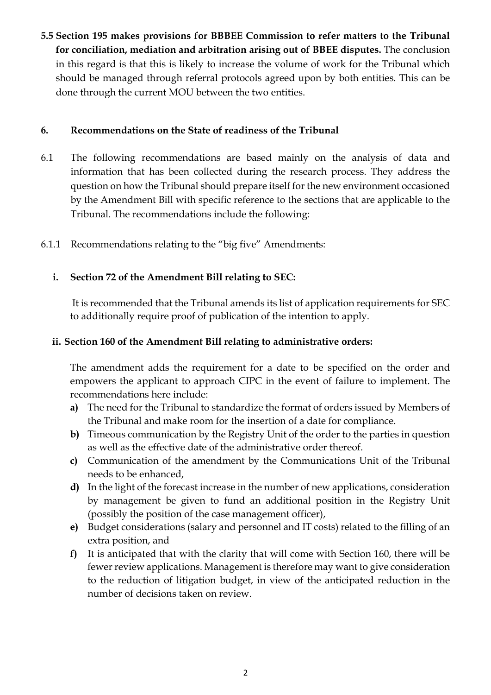**5.5 Section 195 makes provisions for BBBEE Commission to refer matters to the Tribunal for conciliation, mediation and arbitration arising out of BBEE disputes.** The conclusion in this regard is that this is likely to increase the volume of work for the Tribunal which should be managed through referral protocols agreed upon by both entities. This can be done through the current MOU between the two entities.

## <span id="page-26-0"></span>**6. Recommendations on the State of readiness of the Tribunal**

- 6.1 The following recommendations are based mainly on the analysis of data and information that has been collected during the research process. They address the question on how the Tribunal should prepare itself for the new environment occasioned by the Amendment Bill with specific reference to the sections that are applicable to the Tribunal. The recommendations include the following:
- <span id="page-26-1"></span>6.1.1 Recommendations relating to the "big five" Amendments:

# **i. Section 72 of the Amendment Bill relating to SEC:**

It is recommended that the Tribunal amends its list of application requirements for SEC to additionally require proof of publication of the intention to apply.

# **ii. Section 160 of the Amendment Bill relating to administrative orders:**

The amendment adds the requirement for a date to be specified on the order and empowers the applicant to approach CIPC in the event of failure to implement. The recommendations here include:

- **a)** The need for the Tribunal to standardize the format of orders issued by Members of the Tribunal and make room for the insertion of a date for compliance.
- **b)** Timeous communication by the Registry Unit of the order to the parties in question as well as the effective date of the administrative order thereof.
- **c)** Communication of the amendment by the Communications Unit of the Tribunal needs to be enhanced,
- **d)** In the light of the forecast increase in the number of new applications, consideration by management be given to fund an additional position in the Registry Unit (possibly the position of the case management officer),
- **e)** Budget considerations (salary and personnel and IT costs) related to the filling of an extra position, and
- **f)** It is anticipated that with the clarity that will come with Section 160, there will be fewer review applications. Management is therefore may want to give consideration to the reduction of litigation budget, in view of the anticipated reduction in the number of decisions taken on review.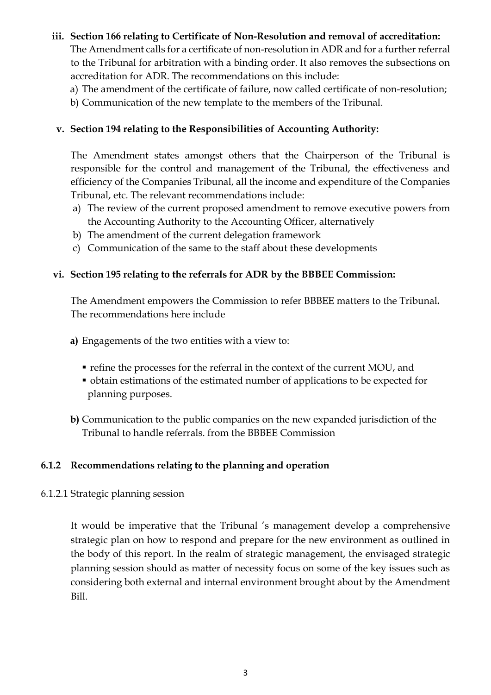### **iii. Section 166 relating to Certificate of Non-Resolution and removal of accreditation:**

The Amendment calls for a certificate of non-resolution in ADR and for a further referral to the Tribunal for arbitration with a binding order. It also removes the subsections on accreditation for ADR. The recommendations on this include:

- a) The amendment of the certificate of failure, now called certificate of non-resolution;
- b) Communication of the new template to the members of the Tribunal.

## **v. Section 194 relating to the Responsibilities of Accounting Authority:**

The Amendment states amongst others that the Chairperson of the Tribunal is responsible for the control and management of the Tribunal, the effectiveness and efficiency of the Companies Tribunal, all the income and expenditure of the Companies Tribunal, etc. The relevant recommendations include:

- a) The review of the current proposed amendment to remove executive powers from the Accounting Authority to the Accounting Officer, alternatively
- b) The amendment of the current delegation framework
- c) Communication of the same to the staff about these developments

# **vi. Section 195 relating to the referrals for ADR by the BBBEE Commission:**

The Amendment empowers the Commission to refer BBBEE matters to the Tribunal**.**  The recommendations here include

- **a)** Engagements of the two entities with a view to:
	- refine the processes for the referral in the context of the current MOU, and
	- obtain estimations of the estimated number of applications to be expected for planning purposes.
- **b)** Communication to the public companies on the new expanded jurisdiction of the Tribunal to handle referrals. from the BBBEE Commission

## <span id="page-27-0"></span>**6.1.2 Recommendations relating to the planning and operation**

## <span id="page-27-1"></span>6.1.2.1 Strategic planning session

It would be imperative that the Tribunal 's management develop a comprehensive strategic plan on how to respond and prepare for the new environment as outlined in the body of this report. In the realm of strategic management, the envisaged strategic planning session should as matter of necessity focus on some of the key issues such as considering both external and internal environment brought about by the Amendment Bill.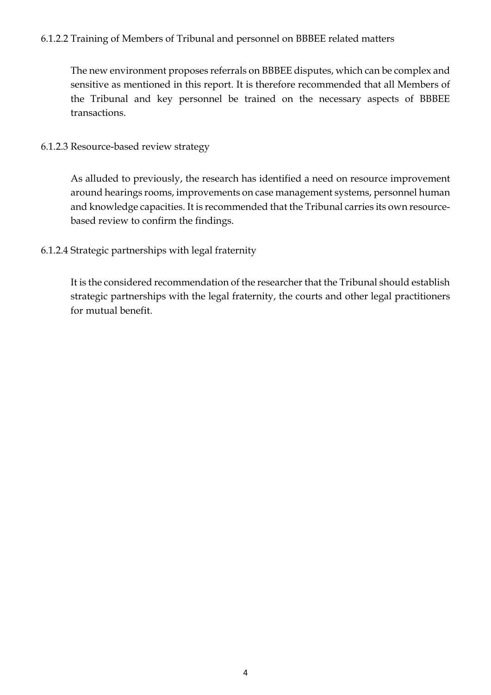## <span id="page-28-0"></span>6.1.2.2 Training of Members of Tribunal and personnel on BBBEE related matters

The new environment proposes referrals on BBBEE disputes, which can be complex and sensitive as mentioned in this report. It is therefore recommended that all Members of the Tribunal and key personnel be trained on the necessary aspects of BBBEE transactions.

#### <span id="page-28-1"></span>6.1.2.3 Resource-based review strategy

As alluded to previously, the research has identified a need on resource improvement around hearings rooms, improvements on case management systems, personnel human and knowledge capacities. It is recommended that the Tribunal carries its own resourcebased review to confirm the findings.

## <span id="page-28-2"></span>6.1.2.4 Strategic partnerships with legal fraternity

It is the considered recommendation of the researcher that the Tribunal should establish strategic partnerships with the legal fraternity, the courts and other legal practitioners for mutual benefit.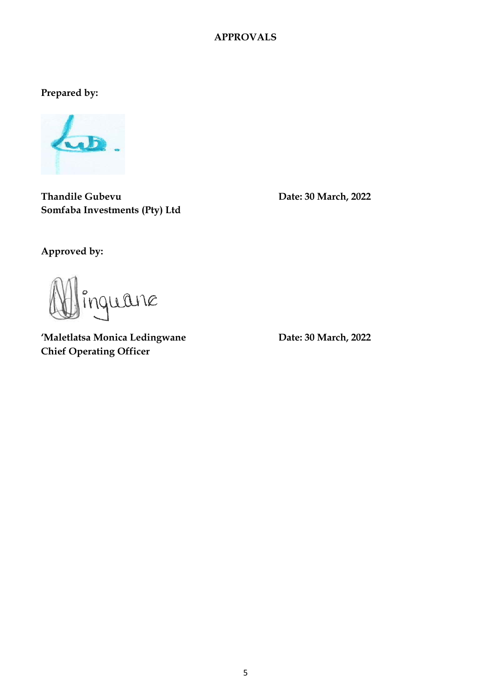#### **APPROVALS**

**Prepared by:** 



**Thandile Gubevu Date: 30 March, 2022 Somfaba Investments (Pty) Ltd**

**Approved by:**

inquane

'Maletlatsa Monica Ledingwane **Date: 30 March, 2022 Chief Operating Officer**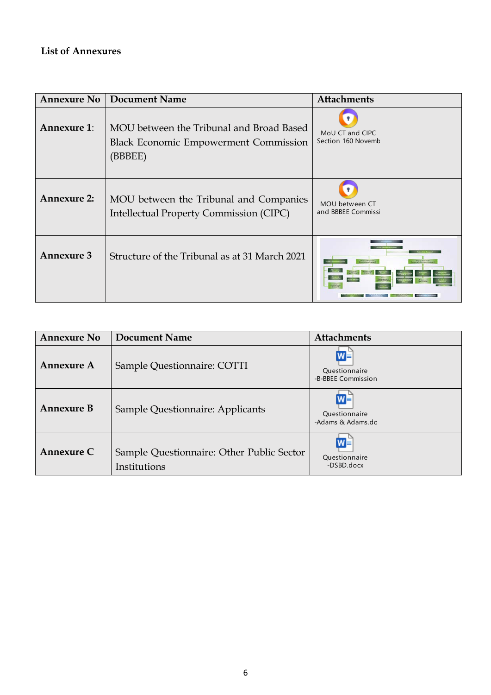# **List of Annexures**

| <b>Annexure No</b> | <b>Document Name</b>                                                                                | <b>Attachments</b>                    |
|--------------------|-----------------------------------------------------------------------------------------------------|---------------------------------------|
| <b>Annexure 1:</b> | MOU between the Tribunal and Broad Based<br><b>Black Economic Empowerment Commission</b><br>(BBBEE) | MoU CT and CIPC<br>Section 160 Novemb |
| <b>Annexure 2:</b> | MOU between the Tribunal and Companies<br><b>Intellectual Property Commission (CIPC)</b>            | MOU between CT<br>and BBBEE Commissi  |
| <b>Annexure 3</b>  | Structure of the Tribunal as at 31 March 2021                                                       |                                       |

| <b>Annexure No</b> | <b>Document Name</b>                                      | <b>Attachments</b>                           |
|--------------------|-----------------------------------------------------------|----------------------------------------------|
| <b>Annexure A</b>  | Sample Questionnaire: COTTI                               | $W =$<br>Questionnaire<br>-B-BBEE Commission |
| <b>Annexure B</b>  | Sample Questionnaire: Applicants                          | $W =$<br>Questionnaire<br>-Adams & Adams.do  |
| Annexure C         | Sample Questionnaire: Other Public Sector<br>Institutions | W≣<br>Questionnaire<br>-DSBD.docx            |